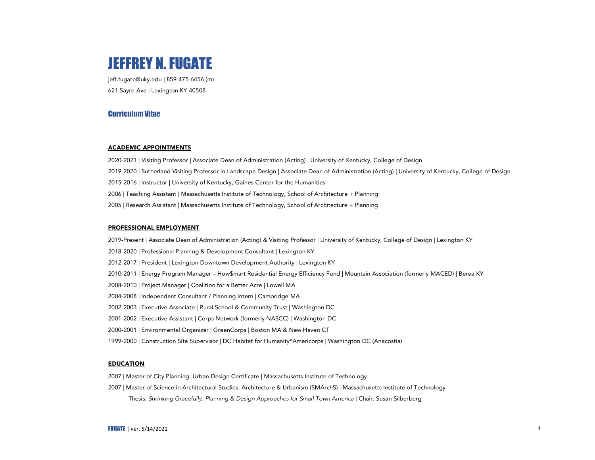

jeff.fugate@uky.edu | 859-475-6456 (m) 621 Sayre Ave | Lexington KY 40508

# Curriculum Vitae

## ACADEMIC APPOINTMENTS

2020-2021 | Visiting Professor | Associate Dean of Administration (Acting) | University of Kentucky, College of Design 2019-2020 | Sutherland Visiting Professor in Landscape Design | Associate Dean of Administration (Acting) | University of Kentucky, College of Design 2015-2016 | Instructor | University of Kentucky, Gaines Center for the Humanities 2006 | Teaching Assistant | Massachusetts Institute of Technology, School of Architecture + Planning 2005 | Research Assistant | Massachusetts Institute of Technology, School of Architecture + Planning

# PROFESSIONAL EMPLOYMENT

2019-Present | Associate Dean of Administration (Acting) & Visiting Professor | University of Kentucky, College of Design | Lexington KY 2018-2020 | Professional Planning & Development Consultant | Lexington KY 2012-2017 | President | Lexington Downtown Development Authority | Lexington KY 2010-2011 | Energy Program Manager – How\$mart Residential Energy Efficiency Fund | Mountain Association (formerly MACED) | Berea KY 2008-2010 | Project Manager | Coalition for a Better Acre | Lowell MA 2004-2008 | Independent Consultant / Planning Intern | Cambridge MA 2002-2003 | Executive Associate | Rural School & Community Trust | Washington DC 2001-2002 | Executive Assistant | Corps Network (formerly NASCC) | Washington DC 2000-2001 | Environmental Organizer | GreenCorps | Boston MA & New Haven CT 1999-2000 | Construction Site Supervisor | DC Habitat for Humanity\*Americorps | Washington DC (Anacostia)

# EDUCATION

- 2007 | Master of City Planning: Urban Design Certificate | Massachusetts Institute of Technology
- 2007 | Master of Science in Architectural Studies: Architecture & Urbanism (SMArchS) | Massachusetts Institute of Technology Thesis: *Shrinking Gracefully: Planning & Design Approaches for Small Town America* | Chair: Susan Silberberg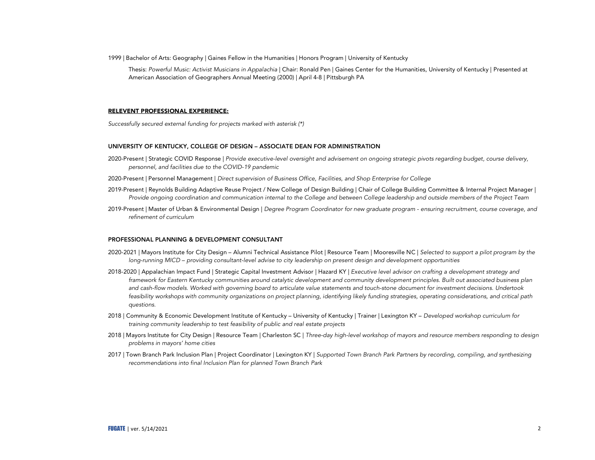1999 | Bachelor of Arts: Geography | Gaines Fellow in the Humanities | Honors Program | University of Kentucky

Thesis: *Powerful Music: Activist Musicians in Appalachia* | Chair: Ronald Pen | Gaines Center for the Humanities, University of Kentucky | Presented at American Association of Geographers Annual Meeting (2000) | April 4-8 | Pittsburgh PA

## RELEVENT PROFESSIONAL EXPERIENCE:

*Successfully secured external funding for projects marked with asterisk (\*)*

### UNIVERSITY OF KENTUCKY, COLLEGE OF DESIGN – ASSOCIATE DEAN FOR ADMINISTRATION

- 2020-Present | Strategic COVID Response | *Provide executive-level oversight and advisement on ongoing strategic pivots regarding budget, course delivery, personnel, and facilities due to the COVID-19 pandemic*
- 2020-Present | Personnel Management | *Direct supervision of Business Office, Facilities, and Shop Enterprise for College*
- 2019-Present | Reynolds Building Adaptive Reuse Project / New College of Design Building | Chair of College Building Committee & Internal Project Manager | *Provide ongoing coordination and communication internal to the College and between College leadership and outside members of the Project Team*
- 2019-Present | Master of Urban & Environmental Design | *Degree Program Coordinator for new graduate program - ensuring recruitment, course coverage, and refinement of curriculum*

## PROFESSIONAL PLANNING & DEVELOPMENT CONSULTANT

- 2020-2021 | Mayors Institute for City Design Alumni Technical Assistance Pilot | Resource Team | Mooresville NC | *Selected to support a pilot program by the long-running MICD – providing consultant-level advise to city leadership on present design and development opportunities*
- 2018-2020 | Appalachian Impact Fund | Strategic Capital Investment Advisor | Hazard KY | *Executive level advisor on crafting a development strategy and*  framework for Eastern Kentucky communities around catalytic development and community development principles. Built out associated business plan *and cash-flow models. Worked with governing board to articulate value statements and touch-stone document for investment decisions. Undertook feasibility workshops with community organizations on project planning, identifying likely funding strategies, operating considerations, and critical path questions.*
- 2018 | Community & Economic Development Institute of Kentucky University of Kentucky | Trainer | Lexington KY *Developed workshop curriculum for training community leadership to test feasibility of public and real estate projects*
- 2018 | Mayors Institute for City Design | Resource Team | Charleston SC | *Three-day high-level workshop of mayors and resource members responding to design problems in mayors' home cities*
- 2017 | Town Branch Park Inclusion Plan | Project Coordinator | Lexington KY | *Supported Town Branch Park Partners by recording, compiling, and synthesizing recommendations into final Inclusion Plan for planned Town Branch Park*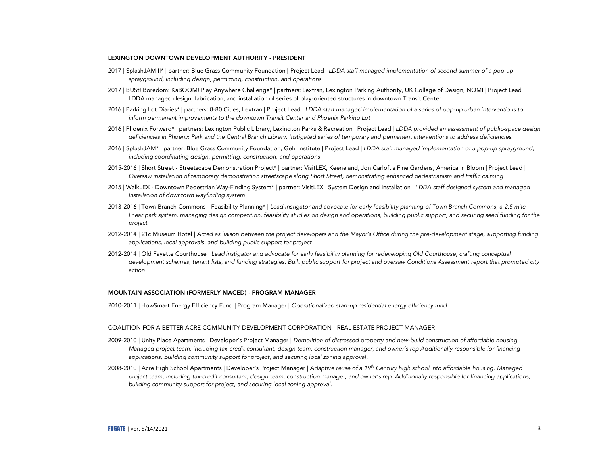## LEXINGTON DOWNTOWN DEVELOPMENT AUTHORITY - PRESIDENT

- 2017 | SplashJAM II\* | partner: Blue Grass Community Foundation | Project Lead | *LDDA staff managed implementation of second summer of a pop-up sprayground, including design, permitting, construction, and operations*
- 2017 | BUSt! Boredom: KaBOOM! Play Anywhere Challenge\* | partners: Lextran, Lexington Parking Authority, UK College of Design, NOMI | Project Lead | LDDA managed design, fabrication, and installation of series of play-oriented structures in downtown Transit Center
- 2016 | Parking Lot Diaries\* | partners: 8-80 Cities, Lextran | Project Lead | *LDDA staff managed implementation of a series of pop-up urban interventions to inform permanent improvements to the downtown Transit Center and Phoenix Parking Lot*
- 2016 | Phoenix Forward\* | partners: Lexington Public Library, Lexington Parks & Recreation | Project Lead | *LDDA provided an assessment of public-space design deficiencies in Phoenix Park and the Central Branch Library. Instigated series of temporary and permanent interventions to address deficiencies.*
- 2016 | SplashJAM\* | partner: Blue Grass Community Foundation, Gehl Institute | Project Lead | *LDDA staff managed implementation of a pop-up sprayground, including coordinating design, permitting, construction, and operations*
- 2015-2016 | Short Street Streetscape Demonstration Project\* | partner: VisitLEX, Keeneland, Jon Carloftis Fine Gardens, America in Bloom | Project Lead | *Oversaw installation of temporary demonstration streetscape along Short Street, demonstrating enhanced pedestrianism and traffic calming*
- 2015 | WalkLEX Downtown Pedestrian Way-Finding System\* | partner: VisitLEX | System Design and Installation | *LDDA staff designed system and managed installation of downtown wayfinding system*
- 2013-2016 | Town Branch Commons Feasibility Planning\* | *Lead instigator and advocate for early feasibility planning of Town Branch Commons, a 2.5 mile* linear park system, managing design competition, feasibility studies on design and operations, building public support, and securing seed funding for the *project*
- 2012-2014 | 21c Museum Hotel | *Acted as liaison between the project developers and the Mayor's Office during the pre-development stage, supporting funding applications, local approvals, and building public support for project*
- 2012-2014 | Old Fayette Courthouse | *Lead instigator and advocate for early feasibility planning for redeveloping Old Courthouse, crafting conceptual development schemes, tenant lists, and funding strategies. Built public support for project and oversaw Conditions Assessment report that prompted city action*

## MOUNTAIN ASSOCIATION (FORMERLY MACED) - PROGRAM MANAGER

2010-2011 | How\$mart Energy Efficiency Fund | Program Manager | *Operationalized start-up residential energy efficiency fund*

# COALITION FOR A BETTER ACRE COMMUNITY DEVELOPMENT CORPORATION - REAL ESTATE PROJECT MANAGER

- 2009-2010 | Unity Place Apartments | Developer's Project Manager | *Demolition of distressed property and new-build construction of affordable housing. Managed project team, including tax-credit consultant, design team, construction manager, and owner's rep Additionally responsible for financing applications, building community support for project, and securing local zoning approval.*
- 2008-2010 | Acre High School Apartments | Developer's Project Manager | *Adaptive reuse of a 19th Century high school into affordable housing. Managed project team, including tax-credit consultant, design team, construction manager, and owner's rep. Additionally responsible for financing applications, building community support for project, and securing local zoning approval.*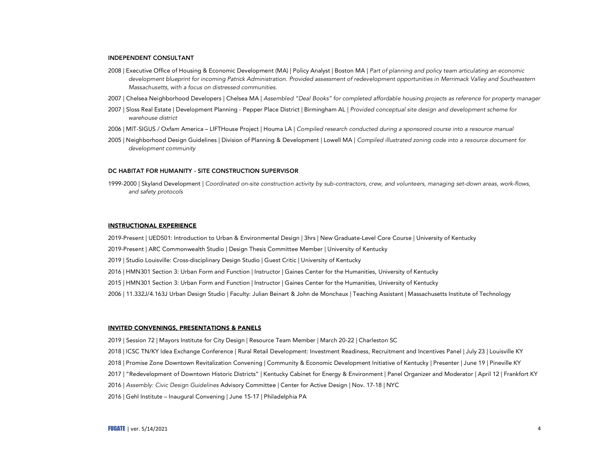#### INDEPENDENT CONSULTANT

- 2008 | Executive Office of Housing & Economic Development (MA) | Policy Analyst | Boston MA | *Part of planning and policy team articulating an economic*  development blueprint for incoming Patrick Administration. Provided assessment of redevelopment opportunities in Merrimack Valley and Southeastern *Massachusetts, with a focus on distressed communities.*
- 2007 | Chelsea Neighborhood Developers | Chelsea MA | *Assembled "Deal Books" for completed affordable housing projects as reference for property manager*
- 2007 | Sloss Real Estate | Development Planning Pepper Place District | Birmingham AL | *Provided conceptual site design and development scheme for warehouse district*
- 2006 | MIT-SIGUS / Oxfam America LIFTHouse Project | Houma LA | *Compiled research conducted during a sponsored course into a resource manual*
- 2005 | Neighborhood Design Guidelines | Division of Planning & Development | Lowell MA | *Compiled illustrated zoning code into a resource document for development community*

### DC HABITAT FOR HUMANITY - SITE CONSTRUCTION SUPERVISOR

1999-2000 | Skyland Development | *Coordinated on-site construction activity by sub-contractors, crew, and volunteers, managing set-down areas, work-flows, and safety protocols*

### INSTRUCTIONAL EXPERIENCE

2019-Present | UED501: Introduction to Urban & Environmental Design | 3hrs | New Graduate-Level Core Course | University of Kentucky

- 2019-Present | ARC Commonwealth Studio | Design Thesis Committee Member | University of Kentucky
- 2019 | Studio Louisville: Cross-disciplinary Design Studio | Guest Critic | University of Kentucky
- 2016 | HMN301 Section 3: Urban Form and Function | Instructor | Gaines Center for the Humanities, University of Kentucky
- 2015 | HMN301 Section 3: Urban Form and Function | Instructor | Gaines Center for the Humanities, University of Kentucky
- 2006 | 11.332J/4.163J Urban Design Studio | Faculty: Julian Beinart & John de Monchaux | Teaching Assistant | Massachusetts Institute of Technology

#### INVITED CONVENINGS, PRESENTATIONS & PANELS

- 2019 | Session 72 | Mayors Institute for City Design | Resource Team Member | March 20-22 | Charleston SC
- 2018 | ICSC TN/KY Idea Exchange Conference | Rural Retail Development: Investment Readiness, Recruitment and Incentives Panel | July 23 | Louisville KY
- 2018 | Promise Zone Downtown Revitalization Convening | Community & Economic Development Initiative of Kentucky | Presenter | June 19 | Pineville KY
- 2017 | "Redevelopment of Downtown Historic Districts" | Kentucky Cabinet for Energy & Environment | Panel Organizer and Moderator | April 12 | Frankfort KY
- 2016 | *Assembly: Civic Design Guidelines* Advisory Committee | Center for Active Design | Nov. 17-18 | NYC
- 2016 | Gehl Institute Inaugural Convening | June 15-17 | Philadelphia PA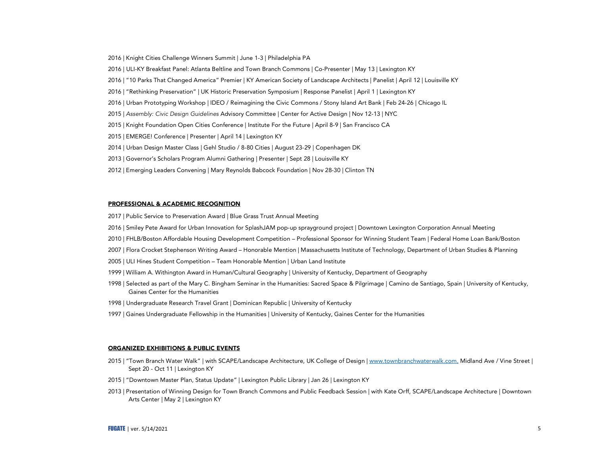- 2016 | Knight Cities Challenge Winners Summit | June 1-3 | Philadelphia PA
- 2016 | ULI-KY Breakfast Panel: Atlanta Beltline and Town Branch Commons | Co-Presenter | May 13 | Lexington KY
- 2016 | "10 Parks That Changed America" Premier | KY American Society of Landscape Architects | Panelist | April 12 | Louisville KY
- 2016 | "Rethinking Preservation" | UK Historic Preservation Symposium | Response Panelist | April 1 | Lexington KY
- 2016 | Urban Prototyping Workshop | IDEO / Reimagining the Civic Commons / Stony Island Art Bank | Feb 24-26 | Chicago IL
- 2015 | *Assembly: Civic Design Guidelines* Advisory Committee | Center for Active Design | Nov 12-13 | NYC
- 2015 | Knight Foundation Open Cities Conference | Institute For the Future | April 8-9 | San Francisco CA
- 2015 | EMERGE! Conference | Presenter | April 14 | Lexington KY
- 2014 | Urban Design Master Class | Gehl Studio / 8-80 Cities | August 23-29 | Copenhagen DK
- 2013 | Governor's Scholars Program Alumni Gathering | Presenter | Sept 28 | Louisville KY
- 2012 | Emerging Leaders Convening | Mary Reynolds Babcock Foundation | Nov 28-30 | Clinton TN

#### PROFESSIONAL & ACADEMIC RECOGNITION

- 2017 | Public Service to Preservation Award | Blue Grass Trust Annual Meeting
- 2016 | Smiley Pete Award for Urban Innovation for SplashJAM pop-up sprayground project | Downtown Lexington Corporation Annual Meeting
- 2010 | FHLB/Boston Affordable Housing Development Competition Professional Sponsor for Winning Student Team | Federal Home Loan Bank/Boston
- 2007 | Flora Crocket Stephenson Writing Award Honorable Mention | Massachusetts Institute of Technology, Department of Urban Studies & Planning
- 2005 | ULI Hines Student Competition Team Honorable Mention | Urban Land Institute
- 1999 | William A. Withington Award in Human/Cultural Geography | University of Kentucky, Department of Geography
- 1998 | Selected as part of the Mary C. Bingham Seminar in the Humanities: Sacred Space & Pilgrimage | Camino de Santiago, Spain | University of Kentucky, Gaines Center for the Humanities
- 1998 | Undergraduate Research Travel Grant | Dominican Republic | University of Kentucky
- 1997 | Gaines Undergraduate Fellowship in the Humanities | University of Kentucky, Gaines Center for the Humanities

#### ORGANIZED EXHIBITIONS & PUBLIC EVENTS

- 2015 | "Town Branch Water Walk" | with SCAPE/Landscape Architecture, UK College of Design | www.townbranchwaterwalk.com, Midland Ave / Vine Street | Sept 20 - Oct 11 | Lexington KY
- 2015 | "Downtown Master Plan, Status Update" | Lexington Public Library | Jan 26 | Lexington KY
- 2013 | Presentation of Winning Design for Town Branch Commons and Public Feedback Session | with Kate Orff, SCAPE/Landscape Architecture | Downtown Arts Center | May 2 | Lexington KY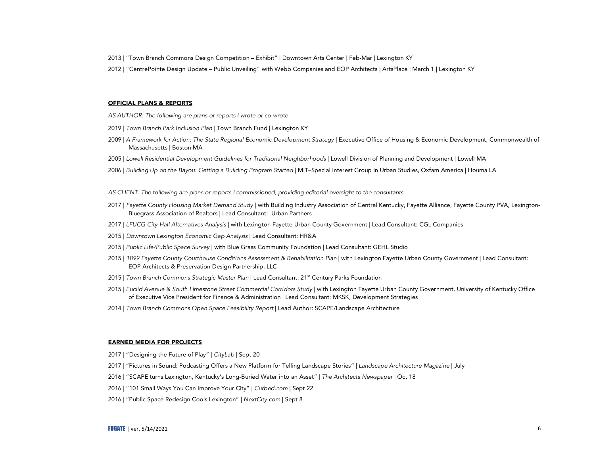- 2013 | "Town Branch Commons Design Competition Exhibit" | Downtown Arts Center | Feb-Mar | Lexington KY
- 2012 | "CentrePointe Design Update Public Unveiling" with Webb Companies and EOP Architects | ArtsPlace | March 1 | Lexington KY

## OFFICIAL PLANS & REPORTS

- *AS AUTHOR: The following are plans or reports I wrote or co-wrote*
- 2019 | *Town Branch Park Inclusion Plan* | Town Branch Fund | Lexington KY
- 2009 | *A Framework for Action: The State Regional Economic Development Strategy* | Executive Office of Housing & Economic Development, Commonwealth of Massachusetts | Boston MA
- 2005 | *Lowell Residential Development Guidelines for Traditional Neighborhoods* | Lowell Division of Planning and Development | Lowell MA
- 2006 | *Building Up on the Bayou: Getting a Building Program Started* | MIT–Special Interest Group in Urban Studies, Oxfam America | Houma LA
- *AS CLIENT: The following are plans or reports I commissioned, providing editorial oversight to the consultants*
- 2017 | *Fayette County Housing Market Demand Study* | with Building Industry Association of Central Kentucky, Fayette Alliance, Fayette County PVA, Lexington-Bluegrass Association of Realtors | Lead Consultant: Urban Partners
- 2017 | *LFUCG City Hall Alternatives Analysis* | with Lexington Fayette Urban County Government | Lead Consultant: CGL Companies
- 2015 | *Downtown Lexington Economic Gap Analysis* | Lead Consultant: HR&A
- 2015 | *Public Life/Public Space Survey* | with Blue Grass Community Foundation | Lead Consultant: GEHL Studio
- 2015 | 1899 Fayette County Courthouse Conditions Assessment & Rehabilitation Plan | with Lexington Fayette Urban County Government | Lead Consultant: EOP Architects & Preservation Design Partnership, LLC
- 2015 | *Town Branch Commons Strategic Master Plan* | Lead Consultant: 21<sup>st</sup> Century Parks Foundation
- 2015 | *Euclid Avenue & South Limestone Street Commercial Corridors Study* | with Lexington Fayette Urban County Government, University of Kentucky Office of Executive Vice President for Finance & Administration | Lead Consultant: MKSK, Development Strategies
- 2014 | *Town Branch Commons Open Space Feasibility Report* | Lead Author: SCAPE/Landscape Architecture

#### EARNED MEDIA FOR PROJECTS

- 2017 | "Designing the Future of Play" | *CityLab* | Sept 20
- 2017 | "Pictures in Sound: Podcasting Offers a New Platform for Telling Landscape Stories" | *Landscape Architecture Magazine* | July
- 2016 | "SCAPE turns Lexington, Kentucky's Long-Buried Water into an Asset" | *The Architects Newspaper* | Oct 18
- 2016 | "101 Small Ways You Can Improve Your City" | *Curbed.com* | Sept 22
- 2016 | "Public Space Redesign Cools Lexington" | *NextCity.com* | Sept 8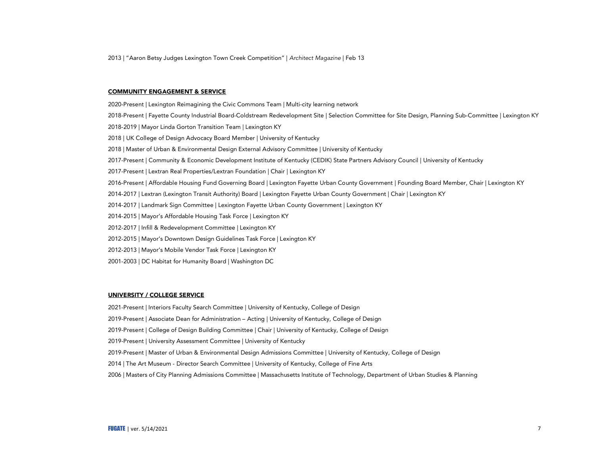2013 | "Aaron Betsy Judges Lexington Town Creek Competition" | *Architect Magazine* | Feb 13

#### COMMUNITY ENGAGEMENT & SERVICE

- 2020-Present | Lexington Reimagining the Civic Commons Team | Multi-city learning network 2018-Present | Fayette County Industrial Board-Coldstream Redevelopment Site | Selection Committee for Site Design, Planning Sub-Committee | Lexington KY 2018-2019 | Mayor Linda Gorton Transition Team | Lexington KY 2018 | UK College of Design Advocacy Board Member | University of Kentucky 2018 | Master of Urban & Environmental Design External Advisory Committee | University of Kentucky 2017-Present | Community & Economic Development Institute of Kentucky (CEDIK) State Partners Advisory Council | University of Kentucky 2017-Present | Lextran Real Properties/Lextran Foundation | Chair | Lexington KY 2016-Present | Affordable Housing Fund Governing Board | Lexington Fayette Urban County Government | Founding Board Member, Chair | Lexington KY 2014-2017 | Lextran (Lexington Transit Authority) Board | Lexington Fayette Urban County Government | Chair | Lexington KY 2014-2017 | Landmark Sign Committee | Lexington Fayette Urban County Government | Lexington KY 2014-2015 | Mayor's Affordable Housing Task Force | Lexington KY 2012-2017 | Infill & Redevelopment Committee | Lexington KY 2012-2015 | Mayor's Downtown Design Guidelines Task Force | Lexington KY 2012-2013 | Mayor's Mobile Vendor Task Force | Lexington KY
- 2001-2003 | DC Habitat for Humanity Board | Washington DC

#### UNIVERSITY / COLLEGE SERVICE

- 2021-Present | Interiors Faculty Search Committee | University of Kentucky, College of Design
- 2019-Present | Associate Dean for Administration Acting | University of Kentucky, College of Design
- 2019-Present | College of Design Building Committee | Chair | University of Kentucky, College of Design
- 2019-Present | University Assessment Committee | University of Kentucky
- 2019-Present | Master of Urban & Environmental Design Admissions Committee | University of Kentucky, College of Design
- 2014 | The Art Museum Director Search Committee | University of Kentucky, College of Fine Arts
- 2006 | Masters of City Planning Admissions Committee | Massachusetts Institute of Technology, Department of Urban Studies & Planning